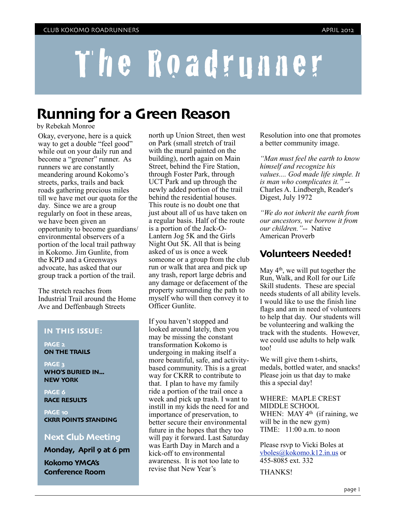# The Roadrunner

# **Running for a Green Reason**

by Rebekah Monroe

Okay, everyone, here is a quick way to get a double "feel good" while out on your daily run and become a "greener" runner. As runners we are constantly meandering around Kokomo's streets, parks, trails and back roads gathering precious miles till we have met our quota for the day. Since we are a group regularly on foot in these areas, we have been given an opportunity to become guardians/ environmental observers of a portion of the local trail pathway in Kokomo. Jim Gunlite, from the KPD and a Greenways advocate, has asked that our group track a portion of the trail.

The stretch reaches from Industrial Trail around the Home Ave and Deffenbaugh Streets

#### **IN THIS ISSUE:**

**PAGE 2 ON THE TRAILS**

**PAGE 3 WHO'S BURIED IN... NEW YORK**

**PAGE 6 RACE RESULTS**

**PAGE 10 CKRR POINTS STANDING**

## **Next Club Meeting**

**Monday, April 9 at 6 pm**

**Kokomo YMCA's Conference Room**

north up Union Street, then west on Park (small stretch of trail with the mural painted on the building), north again on Main Street, behind the Fire Station, through Foster Park, through UCT Park and up through the newly added portion of the trail behind the residential houses. This route is no doubt one that just about all of us have taken on a regular basis. Half of the route is a portion of the Jack-O-Lantern Jog 5K and the Girls Night Out 5K. All that is being asked of us is once a week someone or a group from the club run or walk that area and pick up any trash, report large debris and any damage or defacement of the property surrounding the path to myself who will then convey it to Officer Gunlite.

If you haven't stopped and looked around lately, then you may be missing the constant transformation Kokomo is undergoing in making itself a more beautiful, safe, and activitybased community. This is a great way for CKRR to contribute to that. I plan to have my family ride a portion of the trail once a week and pick up trash. I want to instill in my kids the need for and importance of preservation, to better secure their environmental future in the hopes that they too will pay it forward. Last Saturday was Earth Day in March and a kick-off to environmental awareness. It is not too late to revise that New Year's

Resolution into one that promotes a better community image.

*"Man must feel the earth to know himself and recognize his values.... God made life simple. It is man who complicates it."* -- Charles A. Lindbergh, Reader's Digest, July 1972

*"We do not inherit the earth from our ancestors, we borrow it from our children."*-- Native American Proverb

# **Volunteers Needed!**

May  $4<sup>th</sup>$ , we will put together the Run, Walk, and Roll for our Life Skill students. These are special needs students of all ability levels. I would like to use the finish line flags and am in need of volunteers to help that day. Our students will be volunteering and walking the track with the students. However, we could use adults to help walk too!

We will give them t-shirts, medals, bottled water, and snacks! Please join us that day to make this a special day!

WHERE: MAPLE CREST MIDDLE SCHOOL WHEN: MAY 4<sup>th</sup> (if raining, we will be in the new gym) TIME: 11:00 a.m. to noon

Please rsvp to Vicki Boles at [vboles@kokomo.k12.in.us](mailto:vboles@kokomo.k12.in.us) or 455-8085 ext. 332

THANKS!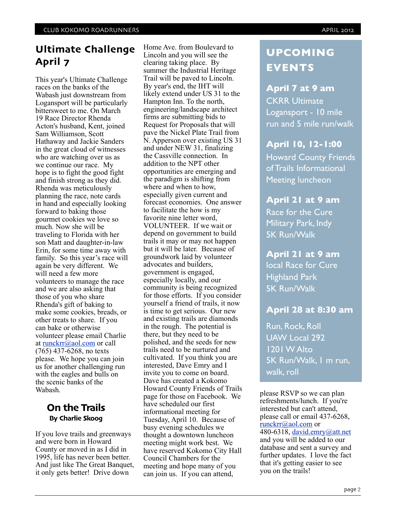# **Ultimate Challenge April 7**

This year's Ultimate Challenge races on the banks of the Wabash just downstream from Logansport will be particularly bittersweet to me. On March 19 Race Director Rhenda Acton's husband, Kent, joined Sam Williamson, Scott Hathaway and Jackie Sanders in the great cloud of witnesses who are watching over us as we continue our race. My hope is to fight the good fight and finish strong as they did. Rhenda was meticulously planning the race, note cards in hand and especially looking forward to baking those gourmet cookies we love so much. Now she will be traveling to Florida with her son Matt and daughter-in-law Erin, for some time away with family. So this year's race will again be very different. We will need a few more volunteers to manage the race and we are also asking that those of you who share Rhenda's gift of baking to make some cookies, breads, or other treats to share. If you can bake or otherwise volunteer please email Charlie at [runckrr@aol.com](mailto:runckrr@aol.com) or call (765) 437-6268, no texts please. We hope you can join us for another challenging run with the eagles and bulls on the scenic banks of the Wabash.

# **On the Trails By Charlie Skoog**

If you love trails and greenways and were born in Howard County or moved in as I did in 1995, life has never been better. And just like The Great Banquet, it only gets better! Drive down

Home Ave. from Boulevard to Lincoln and you will see the clearing taking place. By summer the Industrial Heritage Trail will be paved to Lincoln. By year's end, the IHT will likely extend under US 31 to the Hampton Inn. To the north, engineering/landscape architect firms are submitting bids to Request for Proposals that will pave the Nickel Plate Trail from N. Apperson over existing US 31 and under NEW 31, finalizing the Cassville connection. In addition to the NPT other opportunities are emerging and the paradigm is shifting from where and when to how, especially given current and forecast economies. One answer to facilitate the how is my favorite nine letter word, VOLUNTEER. If we wait or depend on government to build trails it may or may not happen but it will be later. Because of groundwork laid by volunteer advocates and builders, government is engaged, especially locally, and our community is being recognized for those efforts. If you consider yourself a friend of trails, it now is time to get serious. Our new and existing trails are diamonds in the rough. The potential is there, but they need to be polished, and the seeds for new trails need to be nurtured and cultivated. If you think you are interested, Dave Emry and I invite you to come on board. Dave has created a Kokomo Howard County Friends of Trails page for those on Facebook. We have scheduled our first informational meeting for Tuesday, April 10. Because of busy evening schedules we thought a downtown luncheon meeting might work best. We have reserved Kokomo City Hall Council Chambers for the meeting and hope many of you can join us. If you can attend,

# **UPCOMING EVENTS**

# **April 7 at 9 am**

CKRR Ultimate Logansport - 10 mile run and 5 mile run/walk

# **April 10, 12-1:00**

Howard County Friends of Trails Informational Meeting luncheon

# **April 21 at 9 am**

Race for the Cure Military Park, Indy 5K Run/Walk

## **April 21 at 9 am**

local Race for Cure Highland Park 5K Run/Walk

# **April 28 at 8:30 am**

Run, Rock, Roll UAW Local 292 1201 W Alto 5K Run/Walk, 1 m run, walk, roll

please RSVP so we can plan refreshments/lunch. If you're interested but can't attend, please call or email 437-6268, [runckrr@aol.com](mailto:runckrr@aol.com) or 480-6318, [david.emry@att.net](mailto:david.emry@att.net) and you will be added to our database and sent a survey and further updates. I love the fact that it's getting easier to see you on the trails!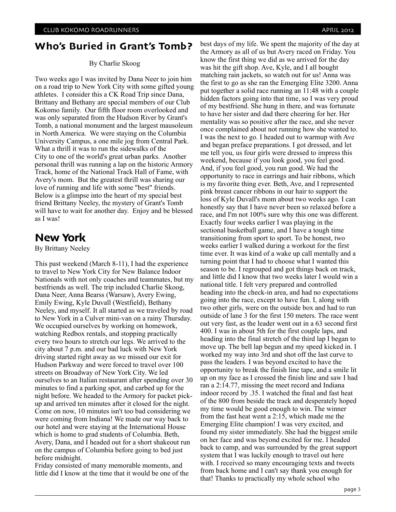# **Who's Buried in Grant's Tomb?**

#### By Charlie Skoog

Two weeks ago I was invited by Dana Neer to join him on a road trip to New York City with some gifted young athletes. I consider this a CK Road Trip since Dana, Brittany and Bethany are special members of our Club Kokomo family. Our fifth floor room overlooked and was only separated from the Hudson River by Grant's Tomb, a national monument and the largest mausoleum in North America. We were staying on the Columbia University Campus, a one mile jog from Central Park. What a thrill it was to run the sidewalks of the City to one of the world's great urban parks. Another personal thrill was running a lap on the historic Armory Track, home of the National Track Hall of Fame, with Avery's mom. But the greatest thrill was sharing our love of running and life with some "best" friends. Below is a glimpse into the heart of my special best friend Brittany Neeley, the mystery of Grant's Tomb will have to wait for another day. Enjoy and be blessed as I was!

# **New York**

By Brittany Neeley

This past weekend (March 8-11), I had the experience to travel to New York City for New Balance Indoor Nationals with not only coaches and teammates, but my bestfriends as well. The trip included Charlie Skoog, Dana Neer, Anna Bearss (Warsaw), Avery Ewing, Emily Ewing, Kyle Duvall (Westfield), Bethany Neeley, and myself. It all started as we traveled by road to New York in a Culver mini-van on a rainy Thursday. We occupied ourselves by working on homework, watching Redbox rentals, and stopping practically every two hours to stretch our legs. We arrived to the city about 7 p.m. and our bad luck with New York driving started right away as we missed our exit for Hudson Parkway and were forced to travel over 100 streets on Broadway of New York City. We led ourselves to an Italian restaurant after spending over 30 minutes to find a parking spot, and carbed up for the night before. We headed to the Armory for packet pickup and arrived ten minutes after it closed for the night. Come on now, 10 minutes isn't too bad considering we were coming from Indiana! We made our way back to our hotel and were staying at the International House which is home to grad students of Columbia. Beth, Avery, Dana, and I headed out for a short shakeout run on the campus of Columbia before going to bed just before midnight.

Friday consisted of many memorable moments, and little did I know at the time that it would be one of the best days of my life. We spent the majority of the day at the Armory as all of us but Avery raced on Friday. You know the first thing we did as we arrived for the day was hit the gift shop. Ave, Kyle, and I all bought matching rain jackets, so watch out for us! Anna was the first to go as she ran the Emerging Elite 3200. Anna put together a solid race running an 11:48 with a couple hidden factors going into that time, so I was very proud of my bestfriend. She hung in there, and was fortunate to have her sister and dad there cheering for her. Her mentality was so positive after the race, and she never once complained about not running how she wanted to. I was the next to go. I headed out to warmup with Ave and began preface preparations. I got dressed, and let me tell you, us four girls were dressed to impress this weekend, because if you look good, you feel good. And, if you feel good, you run good. We had the opportunity to race in earrings and hair ribbons, which is my favorite thing ever. Beth, Ave, and I represented pink breast cancer ribbons in our hair to support the loss of Kyle Duvall's mom about two weeks ago. I can honestly say that I have never been so relaxed before a race, and I'm not 100% sure why this one was different. Exactly four weeks earlier I was playing in the sectional basketball game, and I have a tough time transitioning from sport to sport. To be honest, two weeks earlier I walked during a workout for the first time ever. It was kind of a wake up call mentally and a turning point that I had to choose what I wanted this season to be. I regrouped and got things back on track, and little did I know that two weeks later I would win a national title. I felt very prepared and controlled heading into the check-in area, and had no expectations going into the race, except to have fun. I, along with two other girls, were on the outside box and had to run outside of lane 3 for the first 150 meters. The race went out very fast, as the leader went out in a 63 second first 400. I was in about 5th for the first couple laps, and heading into the final stretch of the third lap I began to move up. The bell lap begun and my speed kicked in. I worked my way into 3rd and shot off the last curve to pass the leaders. I was beyond excited to have the opportunity to break the finish line tape, and a smile lit up on my face as I crossed the finish line and saw I had ran a 2:14.77, missing the meet record and Indiana indoor record by .35. I watched the final and fast heat of the 800 from beside the track and desperately hoped my time would be good enough to win. The winner from the fast heat went a 2:15, which made me the Emerging Elite champion! I was very excited, and found my sister immediately. She had the biggest smile on her face and was beyond excited for me. I headed back to camp, and was surrounded by the great support system that I was luckily enough to travel out here with. I received so many encouraging texts and tweets from back home and I can't say thank you enough for that! Thanks to practically my whole school who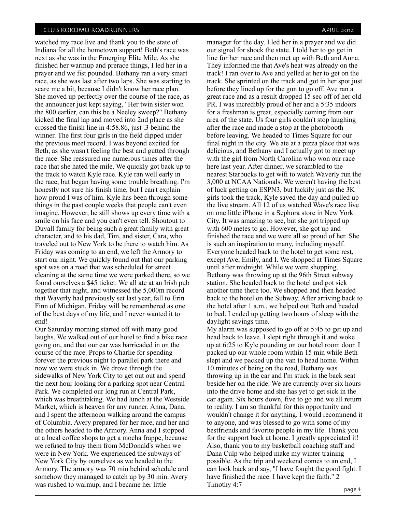watched my race live and thank you to the state of Indiana for all the hometown support! Beth's race was next as she was in the Emerging Elite Mile. As she finished her warmup and prerace things, I led her in a prayer and we fist pounded. Bethany ran a very smart race, as she was last after two laps. She was starting to scare me a bit, because I didn't know her race plan. She moved up perfectly over the course of the race, as the announcer just kept saying, "Her twin sister won the 800 earlier, can this be a Neeley sweep?" Bethany kicked the final lap and moved into 2nd place as she crossed the finish line in 4:58.86, just .3 behind the winner. The first four girls in the field dipped under the previous meet record. I was beyond excited for Beth, as she wasn't feeling the best and gutted through the race. She reassured me numerous times after the race that she hated the mile. We quickly got back up to the track to watch Kyle race. Kyle ran well early in the race, but began having some trouble breathing. I'm honestly not sure his finish time, but I can't explain how proud I was of him. Kyle has been through some things in the past couple weeks that people can't even imagine. However, he still shows up every time with a smile on his face and you can't even tell. Shoutout to Duvall family for being such a great family with great character, and to his dad, Tim, and sister, Cara, who traveled out to New York to be there to watch him. As Friday was coming to an end, we left the Armory to start our night. We quickly found out that our parking spot was on a road that was scheduled for street cleaning at the same time we were parked there, so we found ourselves a \$45 ticket. We all ate at an Irish pub together that night, and witnessed the 5,000m record that Waverly had previously set last year, fall to Erin Finn of Michigan. Friday will be remembered as one of the best days of my life, and I never wanted it to end!

Our Saturday morning started off with many good laughs. We walked out of our hotel to find a bike race going on, and that our car was barricaded in on the course of the race. Props to Charlie for spending forever the previous night to parallel park there and now we were stuck in. We drove through the sidewalks of New York City to get out out and spend the next hour looking for a parking spot near Central Park. We completed our long run at Central Park, which was breathtaking. We had lunch at the Westside Market, which is heaven for any runner. Anna, Dana, and I spent the afternoon walking around the campus of Columbia. Avery prepared for her race, and her and the others headed to the Armory. Anna and I stopped at a local coffee shops to get a mocha frappe, because we refused to buy them from McDonald's when we were in New York. We experienced the subways of New York City by ourselves as we headed to the Armory. The armory was 70 min behind schedule and somehow they managed to catch up by 30 min. Avery was rushed to warmup, and I became her little

manager for the day. I led her in a prayer and we did our signal for shock the state. I told her to go get in line for her race and then met up with Beth and Anna. They informed me that Ave's heat was already on the track! I ran over to Ave and yelled at her to get on the track. She sprinted on the track and got in her spot just before they lined up for the gun to go off. Ave ran a great race and as a result dropped 15 sec off of her old PR. I was incredibly proud of her and a 5:35 indoors for a freshman is great, especially coming from our area of the state. Us four girls couldn't stop laughing after the race and made a stop at the photobooth before leaving. We headed to Times Square for our final night in the city. We ate at a pizza place that was delicious, and Bethany and I actually got to meet up with the girl from North Carolina who won our race here last year. After dinner, we scrambled to the nearest Starbucks to get wifi to watch Waverly run the 3,000 at NCAA Nationals. We weren't having the best of luck getting on ESPN3, but luckily just as the 3K girls took the track, Kyle saved the day and pulled up the live stream. All 12 of us watched Wave's race live on one little iPhone in a Sephora store in New York City. It was amazing to see, but she got tripped up with 600 metes to go. However, she got up and finished the race and we were all so proud of her. She is such an inspiration to many, including myself. Everyone headed back to the hotel to get some rest, except Ave, Emily, and I. We shopped at Times Square until after midnight. While we were shopping, Bethany was throwing up at the 96th Street subway station. She headed back to the hotel and got sick another time there too. We shopped and then headed back to the hotel on the Subway. After arriving back to the hotel after 1 a.m., we helped out Beth and headed to bed. I ended up getting two hours of sleep with the daylight savings time.

My alarm was supposed to go off at 5:45 to get up and head back to leave. I slept right through it and woke up at 6:25 to Kyle pounding on our hotel room door. I packed up our whole room within 15 min while Beth slept and we packed up the van to head home. Within 10 minutes of being on the road, Bethany was throwing up in the car and I'm stuck in the back seat beside her on the ride. We are currently over six hours into the drive home and she has yet to get sick in the car again. Six hours down, five to go and we all return to reality. I am so thankful for this opportunity and wouldn't change it for anything. I would recommend it to anyone, and was blessed to go with some of my bestfriends and favorite people in my life. Thank you for the support back at home. I greatly appreciated it! Also, thank you to my basketball coaching staff and Dana Culp who helped make my winter training possible. As the trip and weekend comes to an end, I can look back and say, "I have fought the good fight. I have finished the race. I have kept the faith." 2 Timothy 4:7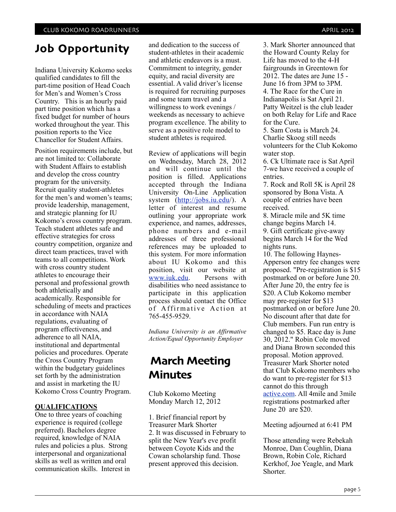# **Job Opportunity**

Indiana University Kokomo seeks qualified candidates to fill the part-time position of Head Coach for Men's and Women's Cross Country. This is an hourly paid part time position which has a fixed budget for number of hours worked throughout the year. This position reports to the Vice Chancellor for Student Affairs.

Position requirements include, but are not limited to: Collaborate with Student Affairs to establish and develop the cross country program for the university. Recruit quality student-athletes for the men's and women's teams; provide leadership, management, and strategic planning for IU Kokomo's cross country program. Teach student athletes safe and effective strategies for cross country competition, organize and direct team practices, travel with teams to all competitions. Work with cross country student athletes to encourage their personal and professional growth both athletically and academically. Responsible for scheduling of meets and practices in accordance with NAIA regulations, evaluating of program effectiveness, and adherence to all NAIA, institutional and departmental policies and procedures. Operate the Cross Country Program within the budgetary guidelines set forth by the administration and assist in marketing the IU Kokomo Cross Country Program.

## **QUALIFICATIONS**

One to three years of coaching experience is required (college preferred). Bachelors degree required, knowledge of NAIA rules and policies a plus. Strong interpersonal and organizational skills as well as written and oral communication skills. Interest in

and dedication to the success of student-athletes in their academic and athletic endeavors is a must. Commitment to integrity, gender equity, and racial diversity are essential. A valid driver's license is required for recruiting purposes and some team travel and a willingness to work evenings / weekends as necessary to achieve program excellence. The ability to serve as a positive role model to student athletes is required.

Review of applications will begin on Wednesday, March 28, 2012 and will continue until the position is filled. Applications accepted through the Indiana University On-Line Application system [\(http://jobs.iu.edu/](http://jobs.iu.edu)). A letter of interest and resume outlining your appropriate work experience, and names, addresses, phone numbers and e-mail addresses of three professional references may be uploaded to this system. For more information about IU Kokomo and this position, visit our website at<br>www.juk.edu. Persons with [www.iuk.edu.](http://www.iuk.edu) disabilities who need assistance to participate in this application process should contact the Office of Affirmative Action at 765-455-9529.

*Indiana University is an Affirmative Action/Equal Opportunity Employer*

# **March Meeting Minutes**

Club Kokomo Meeting Monday March 12, 2012

1. Brief financial report by Treasurer Mark Shorter 2. It was discussed in February to split the New Year's eve profit between Coyote Kids and the Cowan scholarship fund. Those present approved this decision.

3. Mark Shorter announced that the Howard County Relay for Life has moved to the 4-H fairgrounds in Greentown for 2012. The dates are June 15 - June 16 from 3PM to 3PM. 4. The Race for the Cure in Indianapolis is Sat April 21. Patty Weitzel is the club leader on both Relay for Life and Race for the Cure.

5. Sam Costa is March 24. Charlie Skoog still needs volunteers for the Club Kokomo water stop.

6. Ck Ultimate race is Sat April 7-we have received a couple of entries.

7. Rock and Roll 5K is April 28 sponsored by Bona Vista. A couple of entries have been received.

8. Miracle mile and 5K time change begins March 14. 9. Gift certificate give-away begins March 14 for the Wed nights runs.

10. The following Haynes-Apperson entry fee changes were proposed. "Pre-registration is \$15 postmarked on or before June 20. After June 20, the entry fee is \$20. A Club Kokomo member may pre-register for \$13 postmarked on or before June 20. No discount after that date for Club members. Fun run entry is changed to \$5. Race day is June 30, 2012." Robin Cole moved and Diana Brown seconded this proposal. Motion approved. Treasurer Mark Shorter noted that Club Kokomo members who do want to pre-register for \$13 cannot do this through [active.com.](http://active.com/) All 4mile and 3mile registrations postmarked after June 20 are \$20.

Meeting adjourned at 6:41 PM

Those attending were Rebekah Monroe, Dan Coughlin, Diana Brown, Robin Cole, Richard Kerkhof, Joe Yeagle, and Mark Shorter.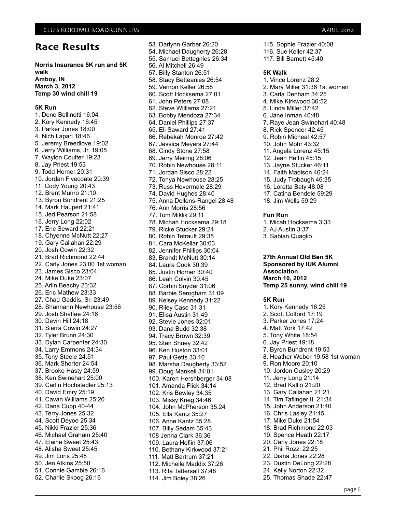# **Race Results**

**Norris Insurance 5K run and 5K walk Amboy, IN March 3, 2012 Temp 30 wind chill 19**

#### **5K Run**

1. Deno Bellinotti 16:04 2. Kory Kennedy 16:45 3. Parker Jones 18:00 4. Nich Lapari 18:46 5. Jeremy Breedlove 19:02 6. Jerry Williams, Jr. 19:05 7. Waylon Coulter 19:23 8. Jay Priest 19:53 9. Todd Horner 20:31 10. Jordan Fivecoate 20:39 11. Cody Young 20:43 12. Brent Munro 21:10 13. Byron Bundrent 21:25 14. Mark Haupert 21:41 15. Jed Pearson 21:58 16. Jerry Long 22:02 17. Eric Seward 22:21 18. Chyenne McNutt 22:27 19. Gary Callahan 22:29 20. Josh Cowin 22:32 21. Brad Richmond 22:44 22. Carly Jones 23:00 1st woman 23. James Sisco 23:04 24. Mike Duke 23:07 25. Arlin Beachy 23:32 26. Eric Mathew 23:33 27. Chad Gaddis, Sr. 23:49 28. Shannann Newhouse 23:56 29. Josh Shaffee 24:16 30. Devin Hill 24:18 31. Sierra Cowin 24:27 32. Tyler Brunn 24:30 33. Dylan Carpenter 24:30 34. Larry Emmons 24:34 35. Tony Steele 24:51 36. Mark Shorter 24:54 37. Brooke Hasty 24:59 38. Ken Swinehart 25:00 39. Carlin Hochstedler 25:13 40. David Emry 25:19 41. Cavan Williams 25:20 42. Dana Cupp 40-44 43. Terry Jones 25:32 44. Scott Deyoe 25:34 45. Nikki Frazier 25:36 46. Michael Graham 25:40 47. Elaine Sweet 25:43 48. Alisha Sweet 25:45 49. Jim Loris 25:48 50. Jen Atkins 25:50 51. Connie Gamble 26:16 52. Charlie Skoog 26:16

53. Darlynn Garber 26:20 54. Michael Daugherty 26:28 55. Samuel Bettegnies 26:34 56. Al Mitchell 26:49 57. Billy Stanton 26:51 58. Stacy Betteanies 26:54 59. Vernon Keller 26:58 60. Scott Hocksema 27:01 61. John Peters 27:08 62. Steve Williams 27:21 63. Bobby Mendoza 27:34 64. Daniel Phillips 27:37 65. Eli Saward 27:41 66. Rebekah Monroe 27:42 67. Jessica Meyers 27:44 68. Cindy Stone 27:58 69. Jerry Meiring 28:06 70. Robin Newhouse 28:11 71. Jordan Sisco 28:22 72. Tonya Newhouse 28:25 73. Russ Hovermale 28:29 74. David Hughes 28:40 75. Anna Dollens-Rangel 28:48 76. Ann Morris 28:56 77. Tom Miklik 29:11 78. Michah Hocksema 29:18 79. Ricke Stucker 29:24 80. Robin Tetrault 29:35 81. Cara McKellar 30:03 82. Jennifer Phillips 30:04 83. Brandt McNutt 30:14 84. Laura Cook 30:39 85. Justin Horner 30:40 86. Leah Colvin 30:45 87. Corbin Snyder 31:06 88. Barbie Serogham 31:09 89. Kelsey Kennedy 31:22 90. Riley Case 31:31 91. Elisa Austin 31:49 92. Stevie Jones 32:01 93. Dana Budd 32:38 94. Tracy Brown 32:39 95. Stan Shuey 32:42 96. Ken Huston 33:01 97. Paul Getts 33:10 98. Marsha Daugherty 33:52 99. Doug Mankell 34:01 100. Karen Hershberger 34:08 101. Amanda Flick 34:14 102. Kris Bewley 34:35 103. Missy Krieg 34:46 104. John McPherson 35:24 105. Ella Kantz 35:27 106. Anne Kantz 35:28 107. Billy Sedam 35:43 108 Jenna Clark 36:36 109. Laura Heflin 37:06 110. Bethany Kirkwood 37:21 111. Matt Bartrum 37:21 112. Michelle Maddix 37:26 113. Rita Tattersall 37:48 114. Jim Boley 38:26

115. Sophie Frazier 40:08 116. Sue Keller 42:37 117. Bill Barnett 45:40 **5K Walk** 1. Vince Lorenz 28:2 2. Mary Miller 31:36 1st woman 3. Carla Denham 34:25 4. Mike Kirkwood 36:52 5. Linda Miller 37:42 6. Jane Inman 40:48 7. Raye Jean Swinehart 40:48 8. Rick Spencer 42:45 9. Robin Micheal 42:57 10. John Mohr 43:32 11. Angela Lorenz 45:15 12. Jean Heflin 45:15 13. Jayne Stucker 46:11 14. Faith Madison 46:24 15. Judy Trobaugh 46:35 16. Loretta Baty 48:08 17. Catina Bendele 59:29 18. Jim Wells 59:29

#### **Fun Run**

1. Micah Hocksema 3:33 2. AJ Austin 3:37 3. Sabian Quaglio

**27th Annual Old Ben 5K Sponsored by IUK Alumni Association March 10, 2012 Temp 25 sunny, wind chill 19**

#### **5K Run**

1. Kory Kennedy 16:25 2. Scott Colford 17:19 3. Parker Jones 17:24 4. Matt York 17:42 5. Tony White 18:54 6. Jay Priest 19:18 7. Byron Bundrent 19:53 8. Heather Weber 19:58 1st woman 9. Ron Moore 20:10 10. Jordon Ousley 20:29 11. Jerry Long 21:14 12. Brad Kallio 21:20 13. Gary Callahan 21:21 14. Tim Taflinger II 21:34 15. John Anderson 21:40 16. Chris Lasley 21:45 17. Mike Duke 21:54 18. Brad Richmond 22:03 19. Spence Heath 22:17 20. Carly Jones 22:18 21. Phil Rozzi 22:25 22. Diana Jones 22:28 23. Dustin DeLong 22:28 24. Kelly Norton 22:32 25. Thomas Shade 22:47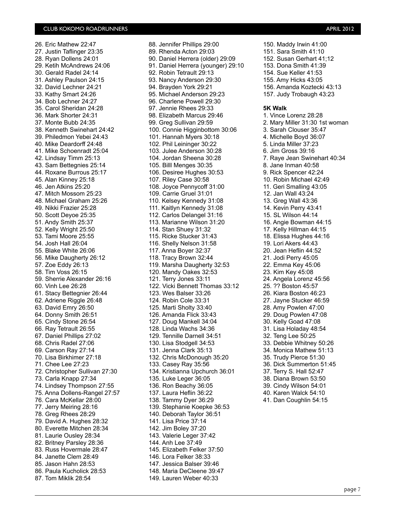26. Eric Mathew 22:47 27. Justin Taflinger 23:35 28. Ryan Dollens 24:01 29. Ketih McAndrews 24:06 30. Gerald Radel 24:14 31. Ashley Paulson 24:15 32. David Lechner 24:21 33. Kathy Smart 24:26 34. Bob Lechner 24:27 35. Carol Sheridan 24:28 36. Mark Shorter 24:31 37. Monte Bubb 24:35 38. Kenneth Swinehart 24:42 39. Philedmon Yebei 24:43 40. Mike Deardorff 24:48 41. Mike Schoenradt 25:04 42. Lindsay Timm 25:13 43. Sam Bettegnies 25:14 44. Roxane Burrous 25:17 45. Alan Kinney 25:18 46. Jen Atkins 25:20 47. Mitch Mossom 25:23 48. Michael Graham 25:26 49. Nikki Frazier 25:28 50. Scott Deyoe 25:35 51. Andy Smith 25:37 52. Kelly Wright 25:50 53. Tami Moore 25:55 54. Josh Hall 26:04 55. Blake White 26:06 56. Mike Daugherty 26:12 57. Zoe Eddy 26:13 58. Tim Voss 26:15 59. Sherrie Alexander 26:16 60. Vinh Lee 26:28 61. Stacy Bettegnier 26:44 62. Adriene Riggle 26:48 63. David Emry 26:50 64. Donny Smith 26:51 65. Cindy Stone 26:54 66. Ray Tetrault 26:55 67. Daniel Phillips 27:02 68. Chris Radel 27:06 69. Carson Ray 27:14 70. Lisa Birkhimer 27:18 71. Chee Lee 27:23 72. Christopher Sullivan 27:30 73. Carla Knapp 27:34 74. Lindsey Thompson 27:55 75. Anna Dollens-Rangel 27:57 76. Cara McKellar 28:00 77. Jerry Meiring 28:16 78. Greg Rhees 28:29 79. David A. Hughes 28:32 80. Everette Mitchen 28:34 81. Laurie Ousley 28:34 82. Britney Parsley 28:36 83. Russ Hovermale 28:47 84. Janette Clem 28:49 85. Jason Hahn 28:53 86. Paula Kucholick 28:53 87. Tom Miklik 28:54

88. Jennifer Phillips 29:00 89. Rhenda Acton 29:03 90. Daniel Herrera (older) 29:09 91. Daniel Herrera (younger) 29:10 92. Robin Tetrault 29:13 93. Nancy Anderson 29:30 94. Brayden York 29:21 95. Michael Anderson 29:23 96. Charlene Powell 29:30 97. Jennie Rhees 29:33 98. Elizabeth Marcus 29:46 99. Greg Sullivan 29:59 100. Connie Higginbottom 30:06 101. Hannah Myers 30:18 102. Phil Leininger 30:22 103. Julee Anderson 30:28 104. Jordan Sheena 30:28 105. Billl Menges 30:35 106. Desiree Hughes 30:53 107. Riley Case 30:58 108. Joyce Pennycoff 31:00 109. Carrie Gruel 31:01 110. Kelsey Kennedy 31:08 111. Kaitlyn Kennedy 31:08 112. Carlos Delangel 31:16 113. Marianne Wilson 31:20 114. Stan Shuey 31:32 115. Ricke Stucker 31:43 116. Shelly Nelson 31:58 117. Anna Boyer 32:37 118. Tracy Brown 32:44 119. Marsha Daugherty 32:53 120. Mandy Oakes 32:53 121. Terry Jones 33:11 122. Vicki Bennett Thomas 33:12 123. Wes Balser 33:26 124. Robin Cole 33:31 125. Marti Sholty 33:40 126. Amanda Flick 33:43 127. Doug Mankell 34:04 128. Linda Wachs 34:36 129. Tennille Darnell 34:51 130. Lisa Stodgell 34:53 131. Jenna Clark 35:13 132. Chris McDonough 35:20 133. Casey Ray 35:56 134. Kristianna Upchurch 36:01 135. Luke Leger 36:05 136. Ron Beachy 36:05 137. Laura Heflin 36:22 138. Tammy Dyer 36:29 139. Stephanie Koepke 36:53 140. Deborah Taylor 36:51 141. Lisa Price 37:14 142. Jim Boley 37:20 143. Valerie Leger 37:42 144. Anh Lee 37:49 145. Elizabeth Felker 37:50 146. Lora Felker 38:33 147. Jessica Balser 39:46 148. Maria DeCleene 39:47 149. Lauren Weber 40:33

150. Maddy Irwin 41:00 151. Sara Smith 41:10 152. Susan Gerhart 41;12 153. Dona Smith 41:39 154. Sue Keller 41:53 155. Amy Hicks 43:05 156. Amanda Koztecki 43:13 157. Judy Trobaugh 43:23 **5K Walk** 1. Vince Lorenz 28:28 2. Mary Miller 31:30 1st woman 3. Sarah Clouser 35:47 4. Michelle Boyd 36:07 5. Linda Miller 37:23 6. Jim Gross 39:16 7. Raye Jean Swinehart 40:34 8. Jane Inman 40:58 9. Rick Spencer 42:24 10. Robin Michael 42:49 11. Geri Smalling 43:05 12. Jan Wall 43:24 13. Greg Wall 43:36 14. Kevin Perry 43:41 15. SL Wilson 44:14 16. Angie Bowman 44:15 17. Kelly Hillman 44:15 18. Elissa Hughes 44:16 19. Lori Akers 44:43 20. Jean Heflin 44:52 21. Jodi Perry 45:05 22. Emma Key 45:06 23. Kim Key 45:08 24. Angela Lorenz 45:56 25. ?? Boston 45:57 26. Kiara Boston 46:23 27. Jayne Stucker 46:59 28. Amy Powlen 47:00 29. Doug Powlen 47:08 30. Kelly Goad 47:08 31. Lisa Holaday 48:54 32. Teng Lee 50:25 33. Debbie Whitney 50:26 34. Monica Mathew 51:13 35. Trudy Pierce 51:30 36. Dick Summerton 51:45 37. Terry S. Hall 52:47 38. Diana Brown 53:50 39. Cindy Wilson 54:01 40. Karen Walck 54:10 41. Dan Coughlin 54:15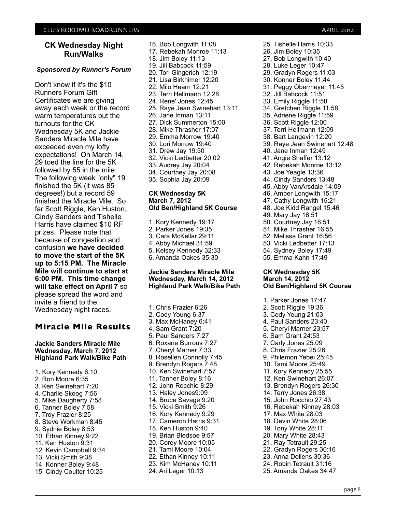## **CK Wednesday Night Run/Walks**

#### *Sponsored by Runner's Forum*

Don't know if it's the \$10 Runners Forum Gift Certificates we are giving away each week or the record warm temperatures but the turnouts for the CK Wednesday 5K and Jackie Sanders Miracle Mile have exceeded even my lofty expectations! On March 14, 29 toed the line for the 5K followed by 55 in the mile. The following week "only" 19 finished the 5K (it was 85 degrees!) but a record 59 finished the Miracle Mile. So far Scott Riggle, Ken Huston, Cindy Sanders and Tishelle Harris have claimed \$10 RF prizes. Please note that because of congestion and confusion **we have decided to move the start of the 5K up to 5:15 PM. The Miracle Mile will continue to start at 6:00 PM. This time change will take effect on April 7** so please spread the word and invite a friend to the Wednesday night races.

## **Miracle Mile Results**

#### **Jackie Sanders Miracle Mile Wednesday, March 7, 2012 Highland Park Walk/Bike Path**

- 1. Kory Kennedy 6:10 2. Ron Moore 6:35 3. Ken Swinehart 7:20 4. Charlie Skoog 7:56
- 5. Mike Daugherty 7:58
- 6. Tanner Boley 7:58
- 7. Troy Frazier 8:25
- 8. Steve Workman 8:45
- 9. Sydnie Boley 8:53
- 
- 10. Ethan Kinney 9:22
- 11. Ken Huston 9:31
- 12. Kevin Campbell 9:34
- 13. Vicki Smith 9:38
- 14. Konner Boley 9:48
- 15. Cindy Coulter 10:25

16. Bob Longwith 11:08 17. Rebekah Monroe 11:13 18. Jim Boley 11:13 19. Jill Babcock 11:59 20. Tori Gingerich 12:19 21. Lisa Birkhimer 12:20 22. Milo Hearn 12:21 23. Terri Hellmann 12:28 24. Rene' Jones 12:45 25. Raye Jean Swinehart 13:11 26. Jane Inman 13:11 27. Dick Summerton 15:00 28. Mike Thrasher 17:07 29. Emma Morrow 19:40 30. Lori Morrow 19:40 31. Drew Jay 19:50 32. Vicki Ledbetter 20:02 33. Audrey Jay 20:04 34. Courtney Jay 20:08 35. Sophia Jay 20:09

#### **CK Wednesday 5K March 7, 2012 Old Ben/Highland 5K Course**

1. Kory Kennedy 19:17 2. Parker Jones 19:35 3. Cara McKellar 29:11 4. Abby Michael 31:59 5. Kelsey Kennedy 32:33 6. Amanda Oakes 35:30

#### **Jackie Sanders Miracle Mile Wednesday, March 14, 2012 Highland Park Walk/Bike Path**

1. Chris Frazier 6:26 2. Cody Young 6:37 3. Max McHaney 6:41 4. Sam Grant 7:20 5. Paul Sanders 7:27 6. Roxane Burrous 7:27 7. Cheryl Marner 7:33 8. Rosellen Connolly 7:45 9. Brendyn Rogers 7:48 10. Ken Swinehart 7:57 11. Tanner Boley 8:16 12. John Rocchio 8:29 13. Haley Jones9:09 14. Bruce Savage 9:20 15. Vicki Smith 9:26 16. Kory Kennedy 9:29 17. Cameron Harris 9:31 18. Ken Huston 9:40 19. Brian Bledsoe 9:57 20. Corey Moore 10:05 21. Tami Moore 10:04 22. Ethan Kinney 10:11 23. Kim McHaney 10:11 24. Ari Leger 10:13

25. Tishelle Harris 10:33 26. Jim Boley 10:35 27. Bob Longwith 10:40 28. Luke Leger 10:47 29. Gradyn Rogers 11:03 30. Konner Boley 11:44 31. Peggy Obermeyer 11:45 32. Jill Babcock 11:51 33. Emily Riggle 11:58 34. Gretchen Riggle 11:58 35. Adriene Riggle 11:59 36, Scott Riggle 12:00 37. Terri Hellmann 12:09 38. Bart Langevin 12:20 39. Raye Jean Swinehart 12:48 40. Jane Inman 12:49 41. Angie Shaffer 13:12 42. Rebekah Monroe 13:12 43. Joe Yeagle 13:36 44. Cindy Sanders 13:48 45. Abby VanArsdale 14:09 46. Amber Longwith 15:17 47. Cathy Longwith 15:21 48. Joe Kidd Rangel 15:46 49. Mary Jay 16:51 50. Courtney Jay 16:51 51. Mike Thrasher 16:55 52. Melissa Grant 16:56 53. Vicki Ledbetter 17:13 54. Sydney Boley 17:49 55. Emma Kahn 17:49

#### **CK Wednesday 5K March 14, 2012 Old Ben/Highland 5K Course**

1. Parker Jones 17:47 2. Scott Riggle 19:36 3. Cody Young 21:03 4. Paul Sanders 23:40 5. Cheryl Marner 23:57 6. Sam Grant 24:53 7. Carly Jones 25:09 8. Chris Frazier 25:26 9. Philemon Yebei 25:45 10. Tami Moore 25:49 11. Kory Kennedy 25:55 12. Ken Swinehart 26:07 13. Brendyn Rogers 26:30 14. Terry Jones 26:38 15. John Rocchio 27:43 16. Rebekah Kinney 28:03 17. Max White 28:03 18. Devin White 28:06 19. Tony White 28:11 20. Mary White 28:43 21. Ray Tetrault 29:25 22. Gradyn Rogers 30:16 23. Anna Dollens 30:36 24. Robin Tetrault 31:16 25. Amanda Oakes 34:47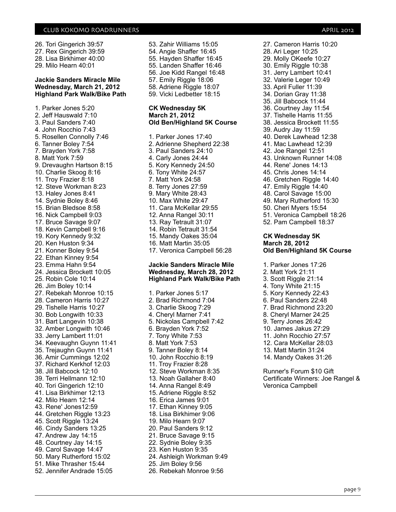26. Tori Gingerich 39:57 27. Rex Gingerich 39:59 28. Lisa Birkhimer 40:00 29. Milo Hearn 40:01

#### **Jackie Sanders Miracle Mile Wednesday, March 21, 2012 Highland Park Walk/Bike Path**

1. Parker Jones 5:20 2. Jeff Hauswald 7:10 3. Paul Sanders 7:40 4. John Rocchio 7:43 5. Rosellen Connolly 7:46 6. Tanner Boley 7:54 7. Brayden York 7:58 8. Matt York 7:59 9. Drevaughn Hartson 8:15 10. Charlie Skoog 8:16 11. Troy Frazier 8:18 12. Steve Workman 8:23 13. Haley Jones 8:41 14. Sydnie Boley 8:46 15. Brian Bledsoe 8:58 16. Nick Campbell 9:03 17. Bruce Savage 9:07 18. Kevin Campbell 9:16 19. Kory Kennedy 9:32 20. Ken Huston 9:34 21. Konner Boley 9:54 22. Ethan Kinney 9:54 23. Emma Hahn 9:54 24. Jessica Brockett 10:05 25. Robin Cole 10:14 26. Jim Boley 10:14 27. Rebekah Monroe 10:15 28. Cameron Harris 10:27 29. Tishelle Harris 10:27 30. Bob Longwith 10:33 31. Bart Langevin 10:38 32. Amber Longwith 10:46 33. Jerry Lambert 11:01 34. Keevaughn Guynn 11:41 35. Trejaughn Guynn 11:41 36. Amir Cummings 12:02 37. Richard Kerkhof 12:03 38. Jill Babcock 12:10 39. Terri Hellmann 12:10 40. Tori Gingerich 12:10 41. Lisa Birkhimer 12:13 42. Milo Hearn 12:14 43. Rene' Jones12:59 44. Gretchen Riggle 13:23 45. Scott Riggle 13:24 46. Cindy Sanders 13:25 47. Andrew Jay 14:15 48. Courtney Jay 14:15 49. Carol Savage 14:47 50. Mary Rutherford 15:02 51. Mike Thrasher 15:44 52. Jennifer Andrade 15:05

53. Zahir Williams 15:05 54. Angie Shaffer 16:45 55. Hayden Shaffer 16:45 55. Landen Shaffer 16:46 56. Joe Kidd Rangel 16:48 57. Emily Riggle 18:06 58. Adriene Riggle 18:07 59. Vicki Ledbetter 18:15

#### **CK Wednesday 5K March 21, 2012 Old Ben/Highland 5K Course**

1. Parker Jones 17:40 2. Adrienne Shepherd 22:38 3. Paul Sanders 24:10 4. Carly Jones 24:44 5. Kory Kennedy 24:50 6. Tony White 24:57 7. Matt York 24:58 8. Terry Jones 27:59 9. Mary White 28:43 10. Max White 29:47 11. Cara McKellar 29:55 12. Anna Rangel 30:11 13. Ray Tetrault 31:07 14. Robin Tetrault 31:54 15. Mandy Oakes 35:04 16. Matt Martin 35:05 17. Veronica Campbell 56:28

#### **Jackie Sanders Miracle Mile Wednesday, March 28, 2012 Highland Park Walk/Bike Path**

1. Parker Jones 5:17 2. Brad Richmond 7:04 3. Charlie Skoog 7:29 4. Cheryl Marner 7:41 5. Nickolas Campbell 7:42 6. Brayden York 7:52 7. Tony White 7:53 8. Matt York 7:53 9. Tanner Boley 8:14 10. John Rocchio 8:19 11. Troy Frazier 8:28 12. Steve Workman 8:35 13. Noah Gallaher 8:40 14. Anna Rangel 8:49 15. Adriene Riggle 8:52 16. Erica James 9:01 17. Ethan Kinney 9:05 18. Lisa Birkhimer 9:06 19. Milo Hearn 9:07 20. Paul Sanders 9:12 21. Bruce Savage 9:15 22. Sydnie Boley 9:35 23. Ken Huston 9:35 24. Ashleigh Workman 9:49 25. Jim Boley 9:56 26. Rebekah Monroe 9:56

27. Cameron Harris 10:20 28. Ari Leger 10:25 29. Molly OKeefe 10:27 30. Emily Riggle 10:38 31. Jerry Lambert 10:41 32. Valerie Leger 10:49 33. April Fuller 11:39 34. Dorian Gray 11:38 35. Jill Babcock 11:44 36. Courtney Jay 11:54 37. Tishelle Harris 11:55 38. Jessica Brockett 11:55 39. Audry Jay 11:59 40. Derek Lawhead 12:38 41. Mac Lawhead 12:39 42. Joe Rangel 12:51 43. Unknown Runner 14:08 44. Rene' Jones 14:13 45. Chris Jones 14:14 46. Gretchen Riggle 14:40 47. Emily Riggle 14:40 48. Carol Savage 15:00 49. Mary Rutherford 15:30 50. Cheri Myers 15:54 51. Veronica Campbell 18:26 52. Pam Campbell 18:37 **CK Wednesday 5K March 28, 2012**

- **Old Ben/Highland 5K Course**
- 1. Parker Jones 17:26
- 2. Matt York 21:11
- 3. Scott Riggle 21:14
- 4. Tony White 21:15
- 5. Kory Kennedy 22:43
- 6. Paul Sanders 22:48
- 7. Brad Richmond 23:20
- 8. Cheryl Marner 24:25
- 9. Terry Jones 26:42
- 10. James Jakus 27:29
- 11. John Rocchio 27:57
- 12. Cara McKellar 28:03
- 13. Matt Martin 31:24
- 14. Mandy Oakes 31:26

Runner's Forum \$10 Gift Certificate Winners: Joe Rangel & Veronica Campbell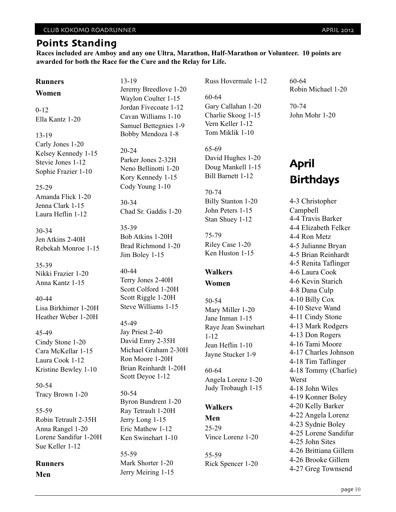**Races included are Amboy and any one Ultra, Marathon, Half-Marathon or Volunteer. 10 points are awarded for both the Race for the Cure and the Relay for Life.**

## **Runners**

#### **Women**

0-12 Ella Kantz 1-20

13-19 Carly Jones 1-20 Kelsey Kennedy 1-15 Stevie Jones 1-12 Sophie Frazier 1-10

## 25-29

Amanda Flick 1-20 Jenna Clark 1-15 Laura Heflin 1-12

30-34 Jen Atkins 2-40H Rebekah Monroe 1-15

35-39 Nikki Frazier 1-20 Anna Kantz 1-15

40-44 Lisa Birkhimer 1-20H Heather Weber 1-20H

#### 45-49

Cindy Stone 1-20 Cara McKellar 1-15 Laura Cook 1-12 Kristine Bewley 1-10

50-54 Tracy Brown 1-20

55-59 Robin Tetrault 2-35H Anna Rangel 1-20 Lorene Sandifur 1-20H Sue Keller 1-12

# **Runners**

**Men**

13-19 Jeremy Breedlove 1-20 Waylon Coulter 1-15 Jordan Fivecoate 1-12 Cavan Williams 1-10 Samuel Bettegnies 1-9 Bobby Mendoza 1-8

20-24 Parker Jones 2-32H Neno Bellinotti 1-20 Kory Kennedy 1-15 Cody Young 1-10

30-34 Chad Sr. Gaddis 1-20

35-39 Bob Atkins 1-20H Brad Richmond 1-20 Jim Boley 1-15

- 40-44 Terry Jones 2-40H Scott Colford 1-20H Scott Riggle 1-20H Steve Williams 1-15
- 45-49

Jay Priest 2-40 David Emry 2-35H Michael Graham 2-30H Ron Moore 1-20H Brian Reinhardt 1-20H Scott Deyoe 1-12

50-54 Byron Bundrent 1-20 Ray Tetrault 1-20H Jerry Long 1-15 Eric Mathew 1-12 Ken Swinehart 1-10

55-59 Mark Shorter 1-20 Jerry Meiring 1-15 Russ Hovermale 1-12

60-64 Gary Callahan 1-20 Charlie Skoog 1-15 Vern Keller 1-12 Tom Miklik 1-10

65-69 David Hughes 1-20 Doug Mankell 1-15 Bill Barnett 1-12

70-74 Billy Stanton 1-20 John Peters 1-15 Stan Shuey 1-12

75-79 Riley Case 1-20 Ken Huston 1-15

# **Walkers**

**Women**

50-54 Mary Miller 1-20 Jane Inman 1-15 Raye Jean Swinehart 1-12 Jean Heflin 1-10 Jayne Stucker 1-9

60-64 Angela Lorenz 1-20 Judy Trobaugh 1-15

## **Walkers**

**Men** 25-29 Vince Lorenz 1-20

55-59 Rick Spencer 1-20 60-64 Robin Michael 1-20

70-74 John Mohr 1-20

# **April Birthdays**

4-3 Christopher Campbell 4-4 Travis Barker 4-4 Elizabeth Felker 4-4 Ron Metz 4-5 Julianne Bryan 4-5 Brian Reinhardt 4-5 Renita Taflinger 4-6 Laura Cook 4-6 Kevin Starich 4-8 Dana Culp 4-10 Billy Cox 4-10 Steve Wand 4-11 Cindy Stone 4-13 Mark Rodgers 4-13 Don Rogers 4-16 Tami Moore 4-17 Charles Johnson 4-18 Tim Taflinger 4-18 Tommy (Charlie) Werst 4-18 John Wiles 4-19 Konner Boley 4-20 Kelly Barker 4-22 Angela Lorenz 4-23 Sydnie Boley 4-25 Lorene Sandifur 4-25 John Sites 4-26 Brittiana Gillem 4-26 Brooke Gillem 4-27 Greg Townsend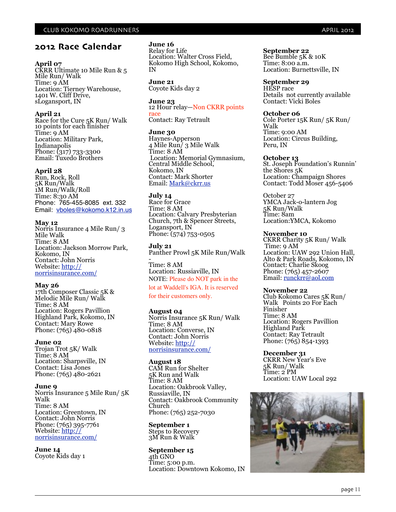## **2012 Race Calendar**

#### **April 07**

CKRR Ultimate 10 Mile Run & 5 Mile Run/ Walk Time: 9 AM Location: Tierney Warehouse, 1401 W. Cliff Drive, sLogansport, IN

#### **April 21**

Race for the Cure 5K Run/ Walk 10 points for each finisher Time: 9 AM Location: Military Park, Indianapolis Phone: (317) 733-3300 Email: Tuxedo Brothers

#### **April 28**

Run, Rock, Roll 5K Run/Walk 1M Run/Walk/Roll Time: 8:30 AM Phone: 765-455-8085 ext. 332 Email: [vboles@kokomo.k12.in.us](mailto:vboles@kokomo.k12.in.us)

#### **May 12**

Norris Insurance 4 Mile Run/ 3 Mile Walk Time: 8 AM Location: Jackson Morrow Park, Kokomo, IN Contact: John Norris Website: [http://](http://norrisinsurance.com/) [norrisinsurance.com/](http://norrisinsurance.com/)

#### **May 26**

17th Composer Classic 5K & Melodic Mile Run/ Walk Time: 8 AM Location: Rogers Pavillion Highland Park, Kokomo, IN Contact: Mary Rowe Phone: (765) 480-0818

#### **June 02**

Trojan Trot 5K/ Walk Time: 8 AM Location: Sharpsville, IN Contact: Lisa Jones Phone: (765) 480-2621

#### **June 9**

Norris Insurance 5 Mile Run/ 5K Walk Time: 8 AM Location: Greentown, IN Contact: John Norris Phone: (765) 395-7761 Website: [http://](http://norrisinsurance.com/) [norrisinsurance.com/](http://norrisinsurance.com/)

**June 14** Coyote Kids day 1

#### **June 16**

Relay for Life Location: Walter Cross Field, Kokomo High School, Kokomo, IN

**June 21** Coyote Kids day 2

**June 23** 12 Hour relay—Non CKRR points race Contact: Ray Tetrault

#### **June 30**

Haynes-Apperson 4 Mile Run/ 3 Mile Walk Time: 8 AM Location: Memorial Gymnasium, Central Middle School, Kokomo, IN Contact: Mark Shorter Email: [Mark@ckrr.us](mailto:Mark@ckrr.us)

#### **July 14**

Race for Grace Time: 8 AM Location: Calvary Presbyterian Church, 7th & Spencer Streets, Logansport, IN Phone: (574) 753-0505

**July 21** Panther Prowl 5K Mile Run/Walk -

Time: 8 AM Location: Russiaville, IN NOTE: Please do NOT park in the

lot at Waddell's IGA. It is reserved

for their customers only.

#### **August 04**

Norris Insurance 5K Run/ Walk Time: 8 AM Location: Converse, IN Contact: John Norris Website: [http://](http://norrisinsurance.com/) [norrisinsurance.com/](http://norrisinsurance.com/)

#### **August 18**

CAM Run for Shelter 5K Run and Walk Time: 8 AM Location: Oakbrook Valley, Russiaville, IN Contact: Oakbrook Community Church Phone: (765) 252-7030

**September 1** Steps to Recovery 3M Run & Walk

**September 15** 4th GNO Time: 5:00 p.m. Location: Downtown Kokomo, IN **September 22** Bee Bumble 5K & 10K Time: 8:00 a.m. Location: Burnettsville, IN

**September 29** HESP race Details not currently available Contact: Vicki Boles

#### **October 06**

Cole Porter 15K Run/ 5K Run/ Walk Time: 9:00 AM Location: Circus Building, Peru, IN

#### **October 13**

St. Joseph Foundation's Runnin' the Shores 5K Location: Champaign Shores Contact: Todd Moser 456-5406

October 27 YMCA Jack-o-lantern Jog 5K Run/Walk Time: 8am Location:YMCA, Kokomo

**November 10** CKRR Charity 5K Run/ Walk Time: 9 AM Location: UAW 292 Union Hall, Alto & Park Roads, Kokomo, IN Contact: Charlie Skoog Phone: (765) 457-2607 Email: [runckrr@aol.com](mailto:runckrr@aol.com)

#### **November 22**

Club Kokomo Cares 5K Run/ Walk Points 20 For Each Finisher Time: 8 AM Location: Rogers Pavillion Highland Park Contact: Ray Tetrault Phone: (765) 854-1393

**December 31** CKRR New Year's Eve 5K Run/ Walk Time: 2 PM Location: UAW Local 292